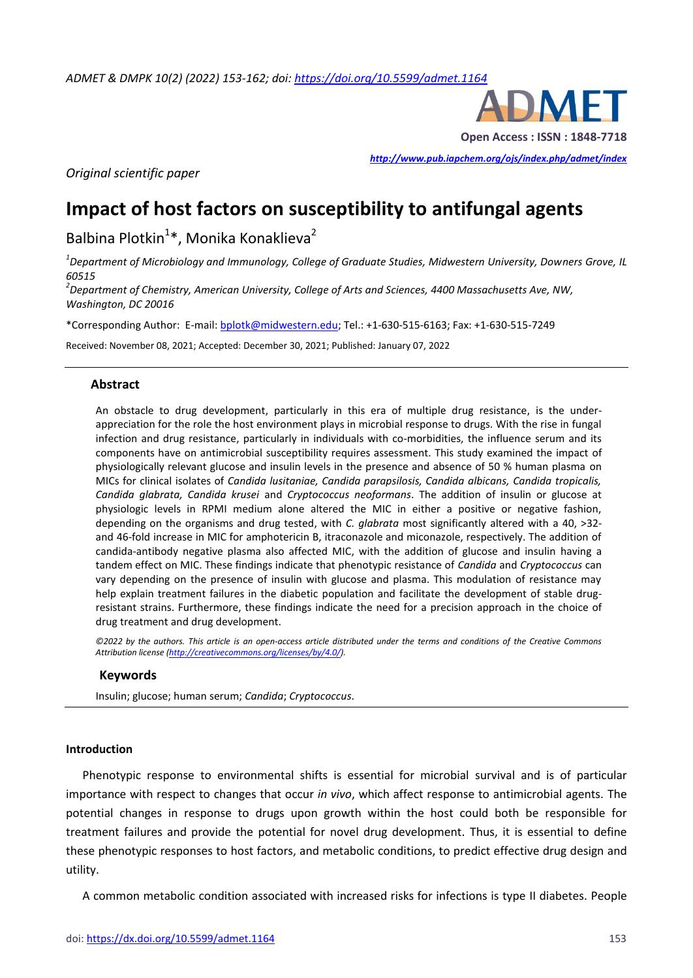

*<http://www.pub.iapchem.org/ojs/index.php/admet/index>* 

*Original scientific paper*

# **Impact of host factors on susceptibility to antifungal agents**

Balbina Plotkin<sup>1</sup>\*, Monika Konaklieva<sup>2</sup>

*1 Department of Microbiology and Immunology, College of Graduate Studies, Midwestern University, Downers Grove, IL 60515*

*2 Department of Chemistry, American University, College of Arts and Sciences, 4400 Massachusetts Ave, NW, Washington, DC 20016* 

\*Corresponding Author: E-mail[: bplotk@midwestern.edu;](mailto:bplotk@midwestern.edu) Tel.: +1-630-515-6163; Fax: +1-630-515-7249

Received: November 08, 2021; Accepted: December 30, 2021; Published: January 07, 2022

### **Abstract**

An obstacle to drug development, particularly in this era of multiple drug resistance, is the underappreciation for the role the host environment plays in microbial response to drugs. With the rise in fungal infection and drug resistance, particularly in individuals with co-morbidities, the influence serum and its components have on antimicrobial susceptibility requires assessment. This study examined the impact of physiologically relevant glucose and insulin levels in the presence and absence of 50 % human plasma on MICs for clinical isolates of *Candida lusitaniae, Candida parapsilosis, Candida albicans, Candida tropicalis, Candida glabrata, Candida krusei* and *Cryptococcus neoformans*. The addition of insulin or glucose at physiologic levels in RPMI medium alone altered the MIC in either a positive or negative fashion, depending on the organisms and drug tested, with *C. glabrata* most significantly altered with a 40, >32 and 46-fold increase in MIC for amphotericin B, itraconazole and miconazole, respectively. The addition of candida-antibody negative plasma also affected MIC, with the addition of glucose and insulin having a tandem effect on MIC. These findings indicate that phenotypic resistance of *Candida* and *Cryptococcus* can vary depending on the presence of insulin with glucose and plasma. This modulation of resistance may help explain treatment failures in the diabetic population and facilitate the development of stable drugresistant strains. Furthermore, these findings indicate the need for a precision approach in the choice of drug treatment and drug development.

*©2022 by the authors. This article is an open-access article distributed under the terms and conditions of the Creative Commons Attribution license [\(http://creativecommons.org/licenses/by/4.0/\)](http://creativecommons.org/licenses/by/4.0/).*

#### **Keywords**

Insulin; glucose; human serum; *Candida*; *Cryptococcus*.

#### **Introduction**

Phenotypic response to environmental shifts is essential for microbial survival and is of particular importance with respect to changes that occur *in vivo*, which affect response to antimicrobial agents. The potential changes in response to drugs upon growth within the host could both be responsible for treatment failures and provide the potential for novel drug development. Thus, it is essential to define these phenotypic responses to host factors, and metabolic conditions, to predict effective drug design and utility.

A common metabolic condition associated with increased risks for infections is type II diabetes. People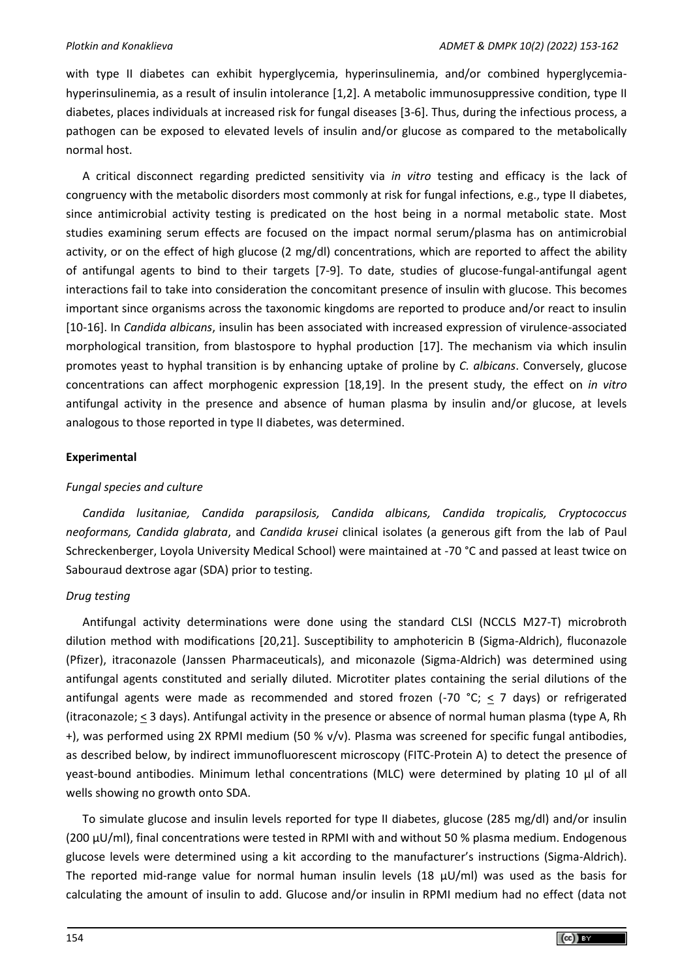with type II diabetes can exhibit hyperglycemia, hyperinsulinemia, and/or combined hyperglycemiahyperinsulinemia, as a result of insulin intolerance [1,2]. A metabolic immunosuppressive condition, type II diabetes, places individuals at increased risk for fungal diseases [3-6]. Thus, during the infectious process, a pathogen can be exposed to elevated levels of insulin and/or glucose as compared to the metabolically normal host.

A critical disconnect regarding predicted sensitivity via *in vitro* testing and efficacy is the lack of congruency with the metabolic disorders most commonly at risk for fungal infections, e.g., type II diabetes, since antimicrobial activity testing is predicated on the host being in a normal metabolic state. Most studies examining serum effects are focused on the impact normal serum/plasma has on antimicrobial activity, or on the effect of high glucose (2 mg/dl) concentrations, which are reported to affect the ability of antifungal agents to bind to their targets [7-9]. To date, studies of glucose-fungal-antifungal agent interactions fail to take into consideration the concomitant presence of insulin with glucose. This becomes important since organisms across the taxonomic kingdoms are reported to produce and/or react to insulin [10-16]. In *Candida albicans*, insulin has been associated with increased expression of virulence-associated morphological transition, from blastospore to hyphal production [17]. The mechanism via which insulin promotes yeast to hyphal transition is by enhancing uptake of proline by *C. albicans*. Conversely, glucose concentrations can affect morphogenic expression [18,19]. In the present study, the effect on *in vitro* antifungal activity in the presence and absence of human plasma by insulin and/or glucose, at levels analogous to those reported in type II diabetes, was determined.

## **Experimental**

## *Fungal species and culture*

*Candida lusitaniae, Candida parapsilosis, Candida albicans, Candida tropicalis, Cryptococcus neoformans, Candida glabrata*, and *Candida krusei* clinical isolates (a generous gift from the lab of Paul Schreckenberger, Loyola University Medical School) were maintained at -70 °C and passed at least twice on Sabouraud dextrose agar (SDA) prior to testing.

## *Drug testing*

Antifungal activity determinations were done using the standard CLSI (NCCLS M27-T) microbroth dilution method with modifications [20,21]. Susceptibility to amphotericin B (Sigma-Aldrich), fluconazole (Pfizer), itraconazole (Janssen Pharmaceuticals), and miconazole (Sigma-Aldrich) was determined using antifungal agents constituted and serially diluted. Microtiter plates containing the serial dilutions of the antifungal agents were made as recommended and stored frozen (-70  $^{\circ}$ C; < 7 days) or refrigerated (itraconazole; < 3 days). Antifungal activity in the presence or absence of normal human plasma (type A, Rh +), was performed using 2X RPMI medium (50 % v/v). Plasma was screened for specific fungal antibodies, as described below, by indirect immunofluorescent microscopy (FITC-Protein A) to detect the presence of yeast-bound antibodies. Minimum lethal concentrations (MLC) were determined by plating 10 µl of all wells showing no growth onto SDA.

To simulate glucose and insulin levels reported for type II diabetes, glucose (285 mg/dl) and/or insulin (200 µU/ml), final concentrations were tested in RPMI with and without 50 % plasma medium. Endogenous glucose levels were determined using a kit according to the manufacturer's instructions (Sigma-Aldrich). The reported mid-range value for normal human insulin levels (18  $\mu$ U/ml) was used as the basis for calculating the amount of insulin to add. Glucose and/or insulin in RPMI medium had no effect (data not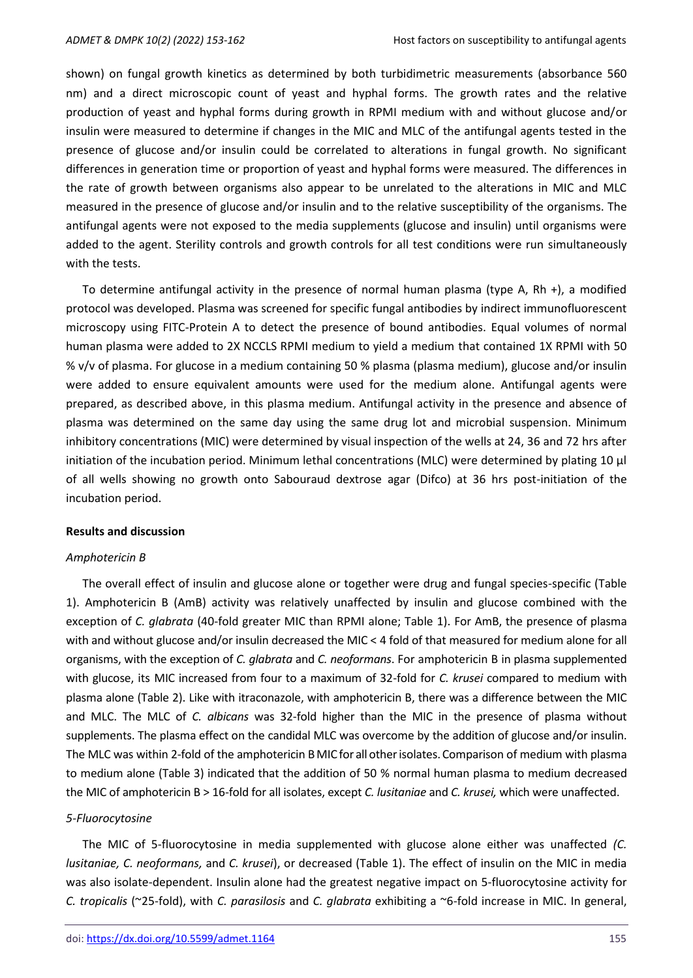shown) on fungal growth kinetics as determined by both turbidimetric measurements (absorbance 560 nm) and a direct microscopic count of yeast and hyphal forms. The growth rates and the relative production of yeast and hyphal forms during growth in RPMI medium with and without glucose and/or insulin were measured to determine if changes in the MIC and MLC of the antifungal agents tested in the presence of glucose and/or insulin could be correlated to alterations in fungal growth. No significant differences in generation time or proportion of yeast and hyphal forms were measured. The differences in the rate of growth between organisms also appear to be unrelated to the alterations in MIC and MLC measured in the presence of glucose and/or insulin and to the relative susceptibility of the organisms. The antifungal agents were not exposed to the media supplements (glucose and insulin) until organisms were added to the agent. Sterility controls and growth controls for all test conditions were run simultaneously with the tests.

To determine antifungal activity in the presence of normal human plasma (type A, Rh +), a modified protocol was developed. Plasma was screened for specific fungal antibodies by indirect immunofluorescent microscopy using FITC-Protein A to detect the presence of bound antibodies. Equal volumes of normal human plasma were added to 2X NCCLS RPMI medium to yield a medium that contained 1X RPMI with 50 % v/v of plasma. For glucose in a medium containing 50 % plasma (plasma medium), glucose and/or insulin were added to ensure equivalent amounts were used for the medium alone. Antifungal agents were prepared, as described above, in this plasma medium. Antifungal activity in the presence and absence of plasma was determined on the same day using the same drug lot and microbial suspension. Minimum inhibitory concentrations (MIC) were determined by visual inspection of the wells at 24, 36 and 72 hrs after initiation of the incubation period. Minimum lethal concentrations (MLC) were determined by plating 10 μl of all wells showing no growth onto Sabouraud dextrose agar (Difco) at 36 hrs post-initiation of the incubation period.

#### **Results and discussion**

#### *Amphotericin B*

The overall effect of insulin and glucose alone or together were drug and fungal species-specific (Table 1). Amphotericin B (AmB) activity was relatively unaffected by insulin and glucose combined with the exception of *C. glabrata* (40-fold greater MIC than RPMI alone; Table 1). For AmB, the presence of plasma with and without glucose and/or insulin decreased the MIC < 4 fold of that measured for medium alone for all organisms, with the exception of *C. glabrata* and *C. neoformans*. For amphotericin B in plasma supplemented with glucose, its MIC increased from four to a maximum of 32-fold for *C. krusei* compared to medium with plasma alone (Table 2). Like with itraconazole, with amphotericin B, there was a difference between the MIC and MLC. The MLC of *C. albicans* was 32-fold higher than the MIC in the presence of plasma without supplements. The plasma effect on the candidal MLC was overcome by the addition of glucose and/or insulin. The MLC was within 2-fold of the amphotericin B MIC for all other isolates. Comparison of medium with plasma to medium alone (Table 3) indicated that the addition of 50 % normal human plasma to medium decreased the MIC of amphotericin B > 16-fold for all isolates, except *C. lusitaniae* and *C. krusei,* which were unaffected.

## *5-Fluorocytosine*

The MIC of 5-fluorocytosine in media supplemented with glucose alone either was unaffected *(C. lusitaniae, C. neoformans,* and *C. krusei*), or decreased (Table 1). The effect of insulin on the MIC in media was also isolate-dependent. Insulin alone had the greatest negative impact on 5-fluorocytosine activity for *C. tropicalis* (~25-fold), with *C. parasilosis* and *C. glabrata* exhibiting a ~6-fold increase in MIC. In general,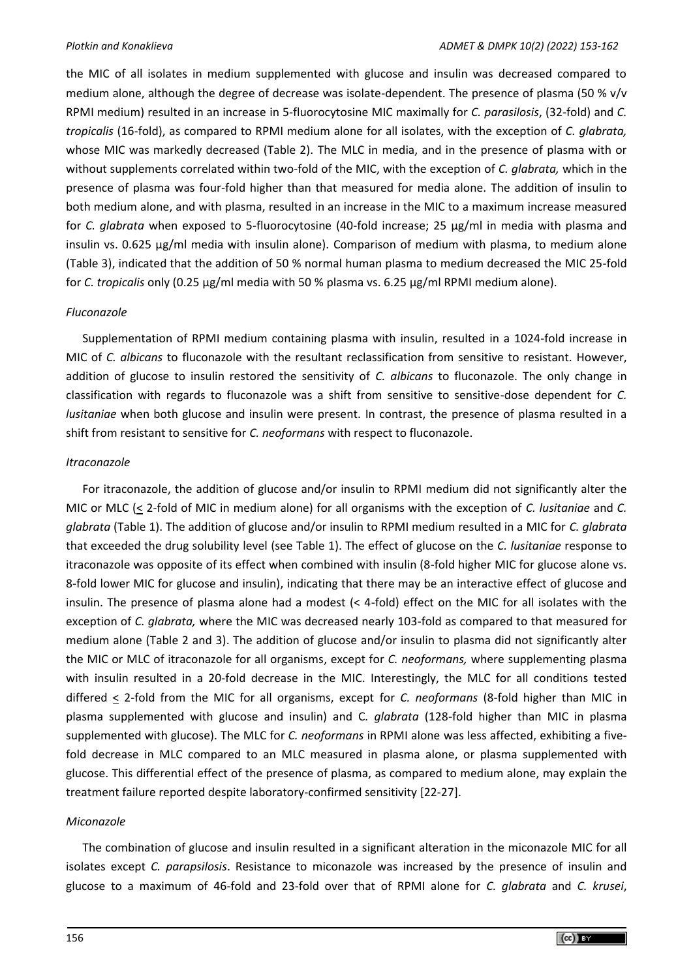the MIC of all isolates in medium supplemented with glucose and insulin was decreased compared to medium alone, although the degree of decrease was isolate-dependent. The presence of plasma (50 % v/v RPMI medium) resulted in an increase in 5-fluorocytosine MIC maximally for *C. parasilosis*, (32-fold) and *C. tropicalis* (16-fold), as compared to RPMI medium alone for all isolates, with the exception of *C. glabrata,* whose MIC was markedly decreased (Table 2). The MLC in media, and in the presence of plasma with or without supplements correlated within two-fold of the MIC, with the exception of *C. glabrata,* which in the presence of plasma was four-fold higher than that measured for media alone. The addition of insulin to both medium alone, and with plasma, resulted in an increase in the MIC to a maximum increase measured for *C. glabrata* when exposed to 5-fluorocytosine (40-fold increase; 25 μg/ml in media with plasma and insulin vs. 0.625 μg/ml media with insulin alone). Comparison of medium with plasma, to medium alone (Table 3), indicated that the addition of 50 % normal human plasma to medium decreased the MIC 25-fold for *C. tropicalis* only (0.25 μg/ml media with 50 % plasma vs. 6.25 μg/ml RPMI medium alone).

# *Fluconazole*

Supplementation of RPMI medium containing plasma with insulin, resulted in a 1024-fold increase in MIC of *C. albicans* to fluconazole with the resultant reclassification from sensitive to resistant. However, addition of glucose to insulin restored the sensitivity of *C. albicans* to fluconazole. The only change in classification with regards to fluconazole was a shift from sensitive to sensitive-dose dependent for *C. lusitaniae* when both glucose and insulin were present. In contrast, the presence of plasma resulted in a shift from resistant to sensitive for *C. neoformans* with respect to fluconazole.

# *Itraconazole*

For itraconazole, the addition of glucose and/or insulin to RPMI medium did not significantly alter the MIC or MLC (< 2-fold of MIC in medium alone) for all organisms with the exception of *C. lusitaniae* and *C. glabrata* (Table 1). The addition of glucose and/or insulin to RPMI medium resulted in a MIC for *C. glabrata* that exceeded the drug solubility level (see Table 1). The effect of glucose on the *C. lusitaniae* response to itraconazole was opposite of its effect when combined with insulin (8-fold higher MIC for glucose alone vs. 8-fold lower MIC for glucose and insulin), indicating that there may be an interactive effect of glucose and insulin. The presence of plasma alone had a modest (< 4-fold) effect on the MIC for all isolates with the exception of *C. glabrata,* where the MIC was decreased nearly 103-fold as compared to that measured for medium alone (Table 2 and 3). The addition of glucose and/or insulin to plasma did not significantly alter the MIC or MLC of itraconazole for all organisms, except for *C. neoformans,* where supplementing plasma with insulin resulted in a 20-fold decrease in the MIC. Interestingly, the MLC for all conditions tested differed < 2-fold from the MIC for all organisms, except for *C. neoformans* (8-fold higher than MIC in plasma supplemented with glucose and insulin) and C*. glabrata* (128-fold higher than MIC in plasma supplemented with glucose). The MLC for *C. neoformans* in RPMI alone was less affected, exhibiting a fivefold decrease in MLC compared to an MLC measured in plasma alone, or plasma supplemented with glucose. This differential effect of the presence of plasma, as compared to medium alone, may explain the treatment failure reported despite laboratory-confirmed sensitivity [22-27].

## *Miconazole*

The combination of glucose and insulin resulted in a significant alteration in the miconazole MIC for all isolates except *C. parapsilosis*. Resistance to miconazole was increased by the presence of insulin and glucose to a maximum of 46-fold and 23-fold over that of RPMI alone for *C. glabrata* and *C. krusei*,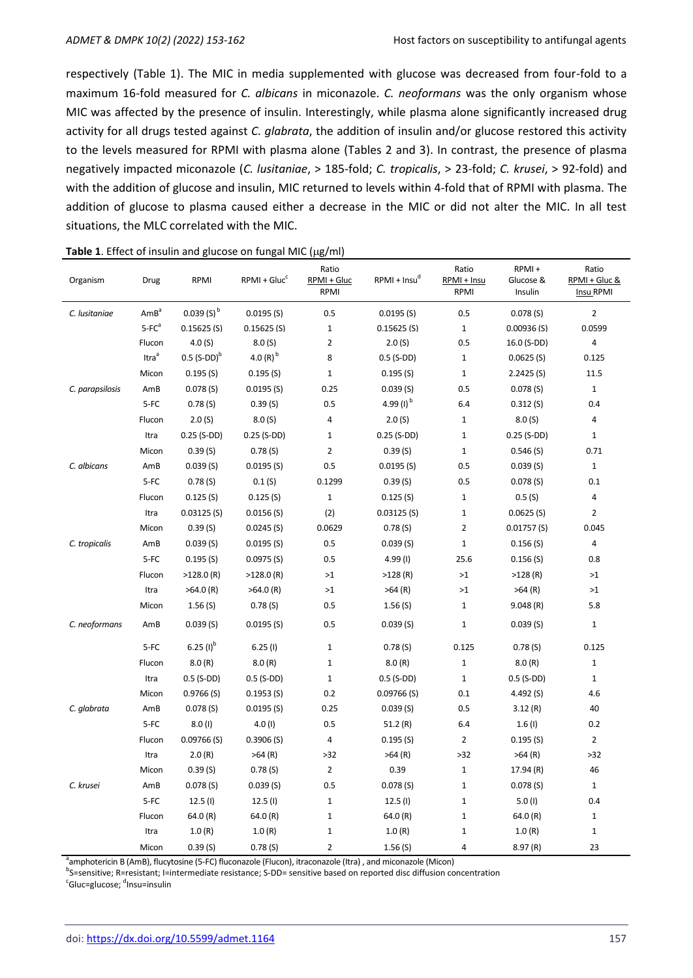respectively (Table 1). The MIC in media supplemented with glucose was decreased from four-fold to a maximum 16-fold measured for *C. albicans* in miconazole. *C. neoformans* was the only organism whose MIC was affected by the presence of insulin. Interestingly, while plasma alone significantly increased drug activity for all drugs tested against *C. glabrata*, the addition of insulin and/or glucose restored this activity to the levels measured for RPMI with plasma alone (Tables 2 and 3). In contrast, the presence of plasma negatively impacted miconazole (*C. lusitaniae*, > 185-fold; *C. tropicalis*, > 23-fold; *C. krusei*, > 92-fold) and with the addition of glucose and insulin, MIC returned to levels within 4-fold that of RPMI with plasma. The addition of glucose to plasma caused either a decrease in the MIC or did not alter the MIC. In all test situations, the MLC correlated with the MIC.

| Organism        | Drug              | RPMI                      | $RPMI + Glucc$ | Ratio<br>RPMI + Gluc<br>RPMI | $RPMI + Insu^0$ | Ratio<br>RPMI + Insu<br>RPMI | RPMI+<br>Glucose &<br>Insulin | Ratio<br>RPMI + Gluc &<br>Insu RPMI |
|-----------------|-------------------|---------------------------|----------------|------------------------------|-----------------|------------------------------|-------------------------------|-------------------------------------|
| C. lusitaniae   | AmB <sup>a</sup>  | $0.039(S)^{b}$            | 0.0195(S)      | 0.5                          | 0.0195(S)       | 0.5                          | 0.078(S)                      | $\overline{2}$                      |
|                 | $5-FCa$           | 0.15625(S)                | 0.15625(S)     | $\mathbf{1}$                 | 0.15625(S)      | $\mathbf{1}$                 | 0.00936(S)                    | 0.0599                              |
|                 | Flucon            | 4.0(S)                    | 8.0(S)         | $\overline{2}$               | 2.0(S)          | 0.5                          | 16.0 (S-DD)                   | $\overline{\mathbf{4}}$             |
|                 | Itra <sup>a</sup> | $0.5$ (S-DD) <sup>b</sup> | 4.0 $(R)^{b}$  | 8                            | $0.5$ (S-DD)    | $\mathbf{1}$                 | 0.0625(S)                     | 0.125                               |
|                 | Micon             | 0.195(S)                  | 0.195(S)       | $\mathbf{1}$                 | 0.195(S)        | $\mathbf 1$                  | 2.2425(S)                     | 11.5                                |
| C. parapsilosis | AmB               | 0.078(S)                  | 0.0195(S)      | 0.25                         | 0.039(S)        | 0.5                          | 0.078(S)                      | $\mathbf 1$                         |
|                 | 5-FC              | $0.78($ S)                | 0.39(S)        | 0.5                          | 4.99 $(l)^{b}$  | 6.4                          | 0.312(S)                      | 0.4                                 |
|                 | Flucon            | 2.0(S)                    | 8.0(S)         | $\overline{4}$               | 2.0(S)          | $\mathbf 1$                  | 8.0(S)                        | 4                                   |
|                 | Itra              | $0.25$ (S-DD)             | $0.25$ (S-DD)  | $\mathbf{1}$                 | $0.25$ (S-DD)   | $\mathbf{1}$                 | $0.25$ (S-DD)                 | $\mathbf 1$                         |
|                 | Micon             | 0.39(S)                   | 0.78(S)        | $\overline{2}$               | 0.39(S)         | $\mathbf 1$                  | 0.546(S)                      | 0.71                                |
| C. albicans     | AmB               | 0.039(S)                  | 0.0195(S)      | 0.5                          | 0.0195(S)       | 0.5                          | 0.039(S)                      | $\mathbf 1$                         |
|                 | 5-FC              | 0.78(S)                   | 0.1 (S)        | 0.1299                       | 0.39(S)         | 0.5                          | 0.078(S)                      | 0.1                                 |
|                 | Flucon            | 0.125(S)                  | 0.125(S)       | $\mathbf{1}$                 | 0.125(S)        | $\mathbf 1$                  | 0.5(S)                        | 4                                   |
|                 | Itra              | 0.03125(S)                | 0.0156(S)      | (2)                          | 0.03125(S)      | $\mathbf 1$                  | 0.0625(S)                     | 2                                   |
|                 | Micon             | 0.39(S)                   | 0.0245(S)      | 0.0629                       | 0.78(S)         | $\overline{2}$               | 0.01757(S)                    | 0.045                               |
| C. tropicalis   | AmB               | 0.039(S)                  | 0.0195(S)      | 0.5                          | 0.039(S)        | $\mathbf 1$                  | 0.156(S)                      | 4                                   |
|                 | 5-FC              | 0.195(S)                  | 0.0975(S)      | 0.5                          | $4.99$ (I)      | 25.6                         | 0.156(S)                      | 0.8                                 |
|                 | Flucon            | $>128.0$ (R)              | $>128.0$ (R)   | >1                           | >128(R)         | >1                           | >128(R)                       | >1                                  |
|                 | Itra              | $>64.0$ (R)               | $>64.0$ (R)    | >1                           | $>64$ (R)       | $>1$                         | >64(R)                        | >1                                  |
|                 | Micon             | 1.56(S)                   | 0.78(S)        | 0.5                          | 1.56(S)         | $\mathbf{1}$                 | 9.048(R)                      | 5.8                                 |
| C. neoformans   | AmB               | 0.039(S)                  | 0.0195(S)      | 0.5                          | 0.039(S)        | $\mathbf 1$                  | 0.039(S)                      | $\mathbf 1$                         |
|                 | 5-FC              | $6.25$ (I) <sup>b</sup>   | 6.25(1)        | $\mathbf{1}$                 | 0.78(S)         | 0.125                        | 0.78(S)                       | 0.125                               |
|                 | Flucon            | 8.0(R)                    | 8.0(R)         | $\mathbf{1}$                 | 8.0(R)          | $\mathbf{1}$                 | 8.0(R)                        | $\mathbf 1$                         |
|                 | Itra              | $0.5$ (S-DD)              | $0.5$ (S-DD)   | $\mathbf{1}$                 | $0.5$ (S-DD)    | $\mathbf{1}$                 | $0.5$ (S-DD)                  | $1\,$                               |
|                 | Micon             | 0.9766(S)                 | 0.1953(S)      | 0.2                          | $0.09766$ (S)   | 0.1                          | 4.492(S)                      | 4.6                                 |
| C. glabrata     | AmB               | 0.078(S)                  | 0.0195(S)      | 0.25                         | 0.039(S)        | 0.5                          | 3.12(R)                       | 40                                  |
|                 | 5-FC              | 8.0(1)                    | 4.0(1)         | 0.5                          | 51.2 $(R)$      | 6.4                          | 1.6(1)                        | 0.2                                 |
|                 | Flucon            | $0.09766$ (S)             | 0.3906(S)      | 4                            | 0.195(S)        | $\overline{2}$               | 0.195(S)                      | $\overline{2}$                      |
|                 | Itra              | 2.0(R)                    | >64(R)         | $>32$                        | $>64$ (R)       | $>32$                        | >64(R)                        | $>32$                               |
|                 | Micon             | 0.39(S)                   | 0.78(S)        | $\overline{2}$               | 0.39            | $\mathbf{1}$                 | 17.94 (R)                     | 46                                  |
| C. krusei       | AmB               | 0.078(S)                  | 0.039(S)       | 0.5                          | 0.078(S)        | $\mathbf 1$                  | 0.078(S)                      | $1\,$                               |
|                 | $5-FC$            | 12.5(l)                   | 12.5(l)        | $\mathbf{1}$                 | 12.5(l)         | $\mathbf{1}$                 | 5.0(1)                        | 0.4                                 |
|                 | Flucon            | 64.0(R)                   | 64.0(R)        | $\mathbf{1}$                 | 64.0 (R)        | $\mathbf 1$                  | 64.0(R)                       | $\mathbf 1$                         |
|                 | Itra              | 1.0(R)                    | 1.0(R)         | $\mathbf{1}$                 | 1.0(R)          | $\mathbf 1$                  | 1.0(R)                        | $1\,$                               |
|                 | Micon             | 0.39(S)                   | 0.78(S)        | $\overline{2}$               | 1.56(S)         | 4                            | 8.97(R)                       | 23                                  |

Table 1. Effect of insulin and glucose on fungal MIC (µg/ml)

<sup>a</sup>amphotericin B (AmB), flucytosine (5-FC) fluconazole (Flucon), itraconazole (Itra) , and miconazole (Micon)

<sup>b</sup>S=sensitive; R=resistant; I=intermediate resistance; S-DD= sensitive based on reported disc diffusion concentration <sup>c</sup>Gluc=glucose; <sup>d</sup>Insu=insulin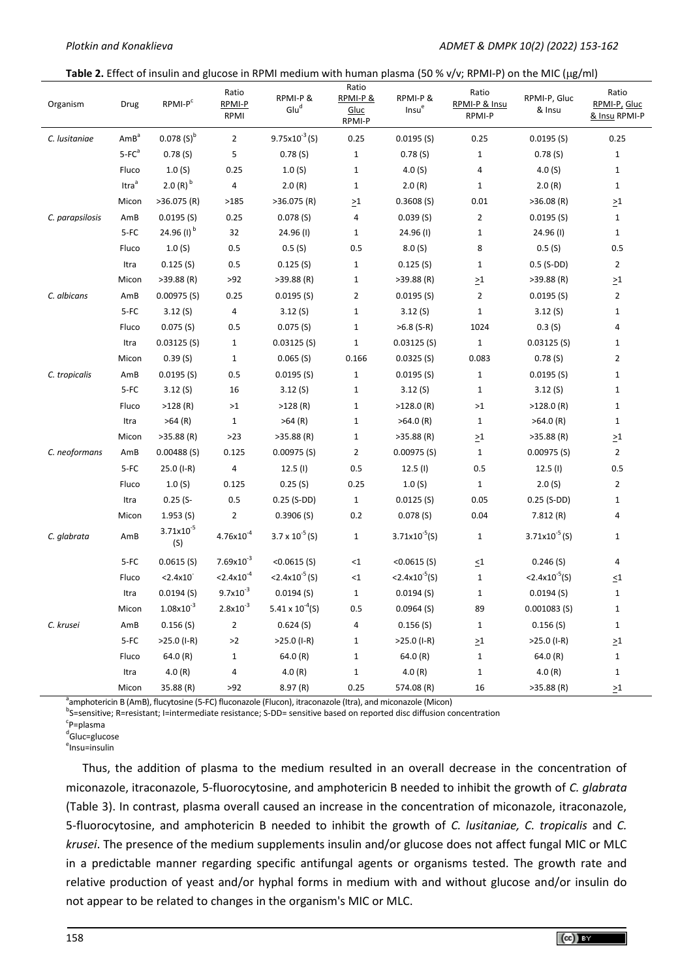#### Table 2. Effect of insulin and glucose in RPMI medium with human plasma (50 % v/v; RPMI-P) on the MIC (µg/ml)

| Organism        | Drug              | RPMI-P <sup>c</sup>   | Ratio<br>RPMI-P<br>RPMI | RPMI-P&<br>Glu <sup>d</sup> | Ratio<br>RPMI-P&<br>Gluc<br>RPMI-P | RPMI-P&<br>Insue           | Ratio<br>RPMI-P & Insu<br>RPMI-P | RPMI-P, Gluc<br>& Insu     | Ratio<br>RPMI-P, Gluc<br>& Insu RPMI-P |
|-----------------|-------------------|-----------------------|-------------------------|-----------------------------|------------------------------------|----------------------------|----------------------------------|----------------------------|----------------------------------------|
| C. lusitaniae   | AmB <sup>a</sup>  | $0.078(S)^{b}$        | $\overline{2}$          | $9.75 \times 10^{-3}$ (S)   | 0.25                               | $0.0195($ S)               | 0.25                             | 0.0195(S)                  | 0.25                                   |
|                 | $5-FCa$           | 0.78(S)               | 5                       | 0.78(S)                     | $\mathbf{1}$                       | 0.78(S)                    | $\mathbf{1}$                     | 0.78(S)                    | $\mathbf{1}$                           |
|                 | Fluco             | 1.0(S)                | 0.25                    | 1.0(S)                      | $\mathbf{1}$                       | 4.0(S)                     | 4                                | 4.0 $(S)$                  | $\mathbf{1}$                           |
|                 | Itra <sup>a</sup> | $2.0(R)^{b}$          | $\overline{a}$          | 2.0(R)                      | $\mathbf{1}$                       | 2.0(R)                     | $\mathbf{1}$                     | 2.0(R)                     | $\mathbf{1}$                           |
|                 | Micon             | $>36.075$ (R)         | >185                    | $>36.075$ (R)               | $\geq1$                            | 0.3608(S)                  | 0.01                             | >36.08(R)                  | $\geq$ 1                               |
| C. parapsilosis | AmB               | 0.0195(S)             | 0.25                    | 0.078(S)                    | 4                                  | 0.039(S)                   | $\overline{2}$                   | 0.0195(S)                  | $\mathbf{1}$                           |
|                 | $5-FC$            | 24.96 $(1)^{b}$       | 32                      | 24.96 (I)                   | $\mathbf{1}$                       | 24.96 (I)                  | $\mathbf{1}$                     | 24.96 (I)                  | $\mathbf{1}$                           |
|                 | Fluco             | 1.0(S)                | 0.5                     | 0.5(S)                      | 0.5                                | 8.0(S)                     | 8                                | 0.5(S)                     | 0.5                                    |
|                 | Itra              | 0.125(S)              | 0.5                     | 0.125(S)                    | $\mathbf{1}$                       | 0.125(S)                   | $\mathbf{1}$                     | $0.5$ (S-DD)               | $\overline{2}$                         |
|                 | Micon             | $>39.88$ (R)          | >92                     | $>39.88$ (R)                | $\mathbf{1}$                       | $>39.88$ (R)               | $\geq1$                          | $>39.88$ (R)               | $\geq1$                                |
| C. albicans     | AmB               | 0.00975(S)            | 0.25                    | 0.0195(S)                   | $\overline{2}$                     | $0.0195($ S)               | $\overline{2}$                   | 0.0195(S)                  | $\overline{2}$                         |
|                 | $5-FC$            | 3.12(S)               | $\overline{4}$          | 3.12(S)                     | $\mathbf{1}$                       | 3.12(S)                    | $1\,$                            | 3.12(S)                    | $\mathbf{1}$                           |
|                 | Fluco             | 0.075(S)              | 0.5                     | 0.075(S)                    | $\mathbf{1}$                       | $>6.8$ (S-R)               | 1024                             | 0.3(S)                     | 4                                      |
|                 | Itra              | 0.03125(5)            | $\mathbf{1}$            | 0.03125(S)                  | $\mathbf 1$                        | 0.03125(S)                 | $\mathbf 1$                      | $0.03125($ S)              | 1                                      |
|                 | Micon             | 0.39(S)               | $\mathbf{1}$            | 0.065(S)                    | 0.166                              | 0.0325(S)                  | 0.083                            | 0.78(S)                    | $\overline{2}$                         |
| C. tropicalis   | AmB               | 0.0195(S)             | 0.5                     | 0.0195(S)                   | $\mathbf{1}$                       | 0.0195(S)                  | $\mathbf{1}$                     | 0.0195(S)                  | $\mathbf{1}$                           |
|                 | $5-FC$            | 3.12(S)               | 16                      | 3.12(S)                     | $\mathbf{1}$                       | 3.12(S)                    | $\mathbf{1}$                     | 3.12(S)                    | $\mathbf{1}$                           |
|                 | Fluco             | $>128$ (R)            | >1                      | >128(R)                     | $\mathbf{1}$                       | $>128.0$ (R)               | >1                               | $>128.0$ (R)               | $\mathbf{1}$                           |
|                 | Itra              | $>64$ (R)             | $\mathbf{1}$            | $>64$ (R)                   | $\mathbf{1}$                       | $>64.0$ (R)                | $\mathbf 1$                      | $>64.0$ (R)                | $\mathbf{1}$                           |
|                 | Micon             | $>35.88$ (R)          | $>23$                   | $>35.88$ (R)                | $\mathbf{1}$                       | $>35.88$ (R)               | $\geq1$                          | $>35.88$ (R)               | $\geq 1$                               |
| C. neoformans   | AmB               | $0.00488($ S)         | 0.125                   | $0.00975($ S)               | $\overline{2}$                     | $0.00975$ (S)              | $\mathbf{1}$                     | $0.00975($ S)              | $\overline{2}$                         |
|                 | $5-FC$            | 25.0 (I-R)            | 4                       | 12.5(l)                     | 0.5                                | 12.5(l)                    | 0.5                              | 12.5(l)                    | 0.5                                    |
|                 | Fluco             | 1.0(S)                | 0.125                   | 0.25(S)                     | 0.25                               | 1.0(S)                     | $\mathbf 1$                      | 2.0(S)                     | $\overline{2}$                         |
|                 | Itra              | $0.25$ (S-            | 0.5                     | $0.25$ (S-DD)               | $\mathbf{1}$                       | $0.0125($ S)               | 0.05                             | $0.25$ (S-DD)              | $\mathbf{1}$                           |
|                 | Micon             | 1.953(S)              | $\overline{2}$          | 0.3906(S)                   | 0.2                                | 0.078(S)                   | 0.04                             | 7.812(R)                   | 4                                      |
| C. glabrata     | AmB               | $3.71x10^{-5}$<br>(S) | $4.76x10^{-4}$          | $3.7 \times 10^{-5}$ (S)    | $\mathbf{1}$                       | $3.71x10^{-5}(S)$          | $\mathbf{1}$                     | $3.71x10^{-5}$ (S)         | $\mathbf{1}$                           |
|                 | $5-FC$            | 0.0615(S)             | $7.69x10^{-3}$          | $<0.0615$ (S)               | $\leq 1$                           | $<0.0615$ (S)              | $\leq1$                          | 0.246(S)                   | 4                                      |
|                 | Fluco             | < 2.4x10              | $< 2.4x10^{-4}$         | $< 2.4 \times 10^{-5}$ (S)  | ${<}1$                             | $< 2.4 \times 10^{-5}$ (S) | $\mathbf{1}$                     | $< 2.4 \times 10^{-5}$ (S) | $\leq1$                                |
|                 | Itra              | $0.0194($ S)          | $9.7x10^{-3}$           | 0.0194(S)                   | $\mathbf{1}$                       | $0.0194($ S)               | $\mathbf{1}$                     | 0.0194(S)                  | $\mathbf{1}$                           |
|                 | Micon             | $1.08x10^{-3}$        | $2.8x10^{-3}$           | 5.41 x $10^{-4}$ (S)        | 0.5                                | 0.0964(S)                  | 89                               | 0.001083(S)                | $\mathbf{1}$                           |
| C. krusei       | AmB               | 0.156(S)              | $\overline{2}$          | 0.624(S)                    | 4                                  | 0.156(S)                   | 1                                | 0.156(S)                   | $\mathbf{1}$                           |
|                 | $5-FC$            | $>25.0$ (I-R)         | $>2$                    | $>25.0$ (I-R)               | $\mathbf{1}$                       | $>25.0$ (I-R)              | $\geq\!\!1$                      | $>25.0$ (I-R)              | $\geq1$                                |
|                 | Fluco             | 64.0 (R)              | $\mathbf{1}$            | 64.0(R)                     | $\mathbf{1}$                       | 64.0(R)                    | $\mathbf 1$                      | 64.0 (R)                   | $\mathbf{1}$                           |
|                 | Itra              | 4.0(R)                | 4                       | 4.0 $(R)$                   | $\mathbf{1}$                       | 4.0(R)                     | $\mathbf{1}$                     | 4.0(R)                     | $\mathbf{1}$                           |
|                 | Micon             | 35.88 (R)             | >92                     | 8.97 (R)                    | 0.25                               | 574.08 (R)                 | $16\,$                           | $>35.88$ (R)               | $\geq1$                                |

<sup>a</sup>amphotericin B (AmB), flucytosine (5-FC) fluconazole (Flucon), itraconazole (Itra), and miconazole (Micon)

b S=sensitive; R=resistant; I=intermediate resistance; S-DD= sensitive based on reported disc diffusion concentration

<sup>c</sup>P=plasma

<sup>d</sup>Gluc=glucose

e Insu=insulin

Thus, the addition of plasma to the medium resulted in an overall decrease in the concentration of miconazole, itraconazole, 5-fluorocytosine, and amphotericin B needed to inhibit the growth of *C. glabrata* (Table 3). In contrast, plasma overall caused an increase in the concentration of miconazole, itraconazole, 5-fluorocytosine, and amphotericin B needed to inhibit the growth of *C. lusitaniae, C. tropicalis* and *C. krusei*. The presence of the medium supplements insulin and/or glucose does not affect fungal MIC or MLC in a predictable manner regarding specific antifungal agents or organisms tested. The growth rate and relative production of yeast and/or hyphal forms in medium with and without glucose and/or insulin do not appear to be related to changes in the organism's MIC or MLC.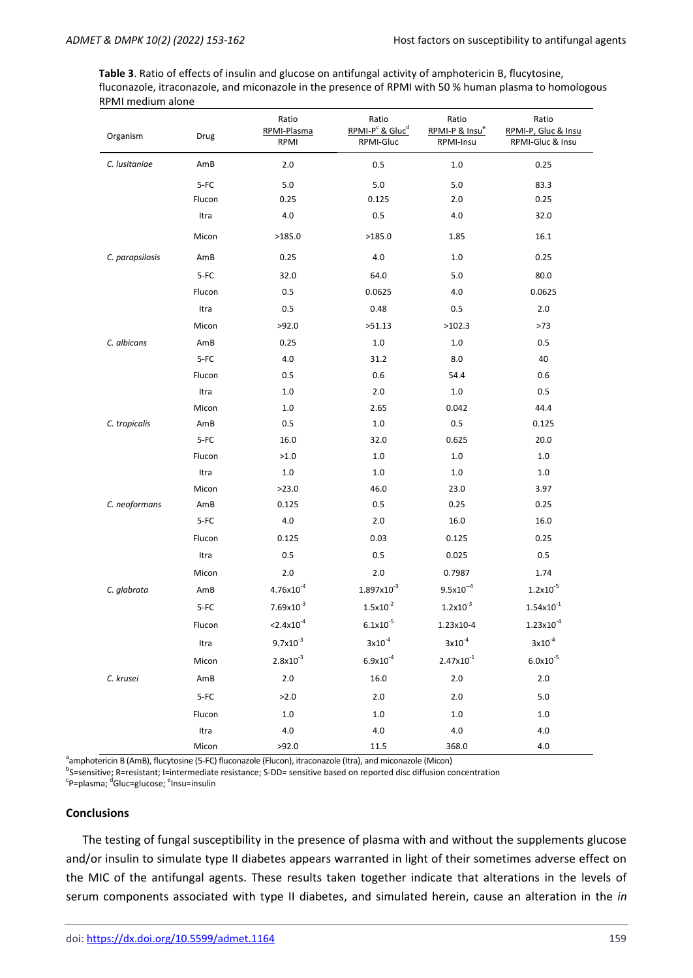**Table 3**. Ratio of effects of insulin and glucose on antifungal activity of amphotericin B, flucytosine, fluconazole, itraconazole, and miconazole in the presence of RPMI with 50 % human plasma to homologous RPMI medium alone

| Organism        | RPMI-Plasma<br>Drug |                        | Ratio<br>RPMI-P <sup>c</sup> & Gluc <sup>d</sup><br>RPMI-Gluc | Ratio<br>RPMI-P & Insu <sup>e</sup><br>RPMI-Insu | Ratio<br>RPMI-P, Gluc & Insu<br>RPMI-Gluc & Insu |  |
|-----------------|---------------------|------------------------|---------------------------------------------------------------|--------------------------------------------------|--------------------------------------------------|--|
| C. lusitaniae   | AmB                 | $2.0\,$                | 0.5                                                           | $1.0\,$                                          | 0.25                                             |  |
|                 | 5-FC                | $5.0\,$                | 5.0                                                           | $5.0\,$                                          | 83.3                                             |  |
|                 | Flucon              | 0.25                   | 0.125                                                         | 2.0                                              | 0.25                                             |  |
|                 | Itra                | 4.0                    | 0.5                                                           | 4.0                                              | 32.0                                             |  |
|                 | Micon               | >185.0                 | >185.0                                                        | 1.85                                             | 16.1                                             |  |
| C. parapsilosis | AmB                 | 0.25                   | 4.0                                                           | $1.0\,$                                          | 0.25                                             |  |
|                 | 5-FC                | 32.0                   | 64.0                                                          | 5.0                                              | 80.0                                             |  |
|                 | Flucon              | 0.5                    | 0.0625                                                        | 4.0                                              | 0.0625                                           |  |
|                 | Itra                | $0.5\,$                | 0.48                                                          | 0.5                                              | $2.0\,$                                          |  |
|                 | Micon               | >92.0                  | >51.13                                                        | >102.3                                           | >73                                              |  |
| C. albicans     | AmB                 | 0.25                   | $1.0$                                                         | $1.0\,$                                          | 0.5                                              |  |
|                 | 5-FC                | $4.0\,$                | 31.2                                                          | 8.0                                              | 40                                               |  |
|                 | Flucon              | 0.5                    | 0.6                                                           | 54.4                                             | 0.6                                              |  |
|                 | Itra                | $1.0\,$                | 2.0                                                           | $1.0\,$                                          | 0.5                                              |  |
|                 | Micon               | $1.0\,$                | 2.65                                                          | 0.042                                            | 44.4                                             |  |
| C. tropicalis   | AmB                 | 0.5                    | $1.0$                                                         | 0.5                                              | 0.125                                            |  |
|                 | $5-FC$              | 16.0                   | 32.0                                                          | 0.625                                            | 20.0                                             |  |
|                 | Flucon              | >1.0                   | $1.0$                                                         | $1.0\,$                                          | $1.0\,$                                          |  |
|                 | Itra                | $1.0\,$                | $1.0$                                                         | $1.0$                                            | $1.0\,$                                          |  |
|                 | Micon               | >23.0                  | 46.0                                                          | 23.0                                             | 3.97                                             |  |
| C. neoformans   | AmB                 | 0.125                  | 0.5                                                           | 0.25                                             | 0.25                                             |  |
|                 | $5-FC$              | 4.0                    | 2.0                                                           | 16.0                                             | 16.0                                             |  |
|                 | Flucon              | 0.125                  | 0.03                                                          | 0.125                                            | 0.25                                             |  |
|                 | Itra                | 0.5                    | 0.5                                                           | 0.025                                            | 0.5                                              |  |
|                 | Micon               | 2.0                    | 2.0                                                           | 0.7987                                           | 1.74                                             |  |
| C. glabrata     | AmB                 | $4.76x10^{-4}$         | $1.897x10^{-3}$                                               | $9.5x10^{-4}$                                    | $1.2 \times 10^{-5}$                             |  |
|                 | 5-FC                | $7.69x10^{-3}$         | $1.5x10^{-2}$                                                 | $1.2x10^{-3}$                                    | $1.54x10^{-1}$                                   |  |
|                 | Flucon              | $< 2.4 \times 10^{-4}$ | $6.1x10^{-5}$                                                 | 1.23x10-4                                        | $1.23 \times 10^{-4}$                            |  |
|                 | Itra                | $9.7x10^{-3}$          | $3x10^{-4}$                                                   | $3x10^{-4}$                                      | $3x10^{-4}$                                      |  |
|                 | Micon               | $2.8x10^{-3}$          | $6.9x10^{-4}$                                                 | $2.47x10^{-1}$                                   | $6.0x10^{-5}$                                    |  |
| C. krusei       | AmB                 | $2.0\,$                | 16.0                                                          | $2.0\,$                                          | $2.0\,$                                          |  |
|                 | $5-FC$              | >2.0                   | 2.0                                                           | 2.0                                              | 5.0                                              |  |
|                 | Flucon              | $1.0\,$                | $1.0$                                                         | $1.0$                                            | 1.0                                              |  |
|                 | Itra                | 4.0                    | 4.0                                                           | 4.0                                              | $4.0$                                            |  |
|                 | Micon               | >92.0                  | 11.5                                                          | 368.0                                            | 4.0                                              |  |

<sup>a</sup>amphotericin B (AmB), flucytosine (5-FC) fluconazole (Flucon), itraconazole (Itra), and miconazole (Micon)

<sup>b</sup>S=sensitive; R=resistant; I=intermediate resistance; S-DD= sensitive based on reported disc diffusion concentration <sup>c</sup>P=plasma; <sup>d</sup>Gluc=glucose; <sup>e</sup>Insu=insulin

#### **Conclusions**

The testing of fungal susceptibility in the presence of plasma with and without the supplements glucose and/or insulin to simulate type II diabetes appears warranted in light of their sometimes adverse effect on the MIC of the antifungal agents. These results taken together indicate that alterations in the levels of serum components associated with type II diabetes, and simulated herein, cause an alteration in the *in*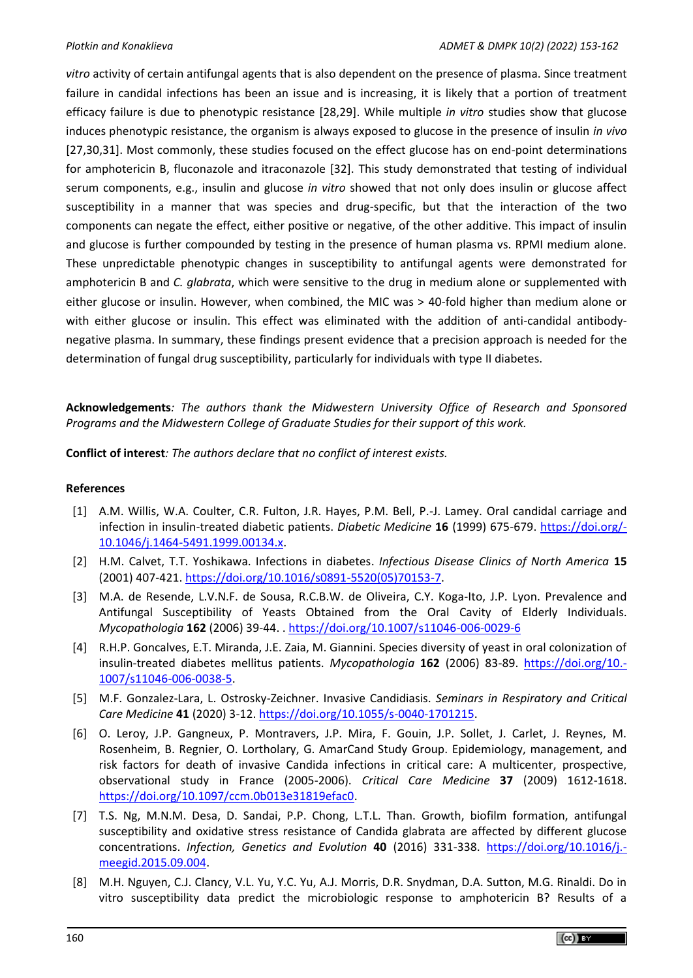*vitro* activity of certain antifungal agents that is also dependent on the presence of plasma. Since treatment failure in candidal infections has been an issue and is increasing, it is likely that a portion of treatment efficacy failure is due to phenotypic resistance [28,29]. While multiple *in vitro* studies show that glucose induces phenotypic resistance, the organism is always exposed to glucose in the presence of insulin *in vivo* [27,30,31]. Most commonly, these studies focused on the effect glucose has on end-point determinations for amphotericin B, fluconazole and itraconazole [32]. This study demonstrated that testing of individual serum components, e.g., insulin and glucose *in vitro* showed that not only does insulin or glucose affect susceptibility in a manner that was species and drug-specific, but that the interaction of the two components can negate the effect, either positive or negative, of the other additive. This impact of insulin and glucose is further compounded by testing in the presence of human plasma vs. RPMI medium alone. These unpredictable phenotypic changes in susceptibility to antifungal agents were demonstrated for amphotericin B and *C. glabrata*, which were sensitive to the drug in medium alone or supplemented with either glucose or insulin. However, when combined, the MIC was > 40-fold higher than medium alone or with either glucose or insulin. This effect was eliminated with the addition of anti-candidal antibodynegative plasma. In summary, these findings present evidence that a precision approach is needed for the determination of fungal drug susceptibility, particularly for individuals with type II diabetes.

**Acknowledgements***: The authors thank the Midwestern University Office of Research and Sponsored Programs and the Midwestern College of Graduate Studies for their support of this work.*

**Conflict of interest***: The authors declare that no conflict of interest exists.*

# **References**

- [1] A.M. Willis, W.A. Coulter, C.R. Fulton, J.R. Hayes, P.M. Bell, P.-J. Lamey. Oral candidal carriage and infection in insulin-treated diabetic patients. *Diabetic Medicine* **16** (1999) 675-679. [https://doi.org/-](https://doi.org/10.1046/j.1464-5491.1999.00134.x) [10.1046/j.1464-5491.1999.00134.x.](https://doi.org/10.1046/j.1464-5491.1999.00134.x)
- [2] H.M. Calvet, T.T. Yoshikawa. Infections in diabetes. *Infectious Disease Clinics of North America* **15**  (2001) 407-421. [https://doi.org/10.1016/s0891-5520\(05\)70153-7.](https://doi.org/10.1016/s0891-5520(05)70153-7)
- [3] M.A. de Resende, L.V.N.F. de Sousa, R.C.B.W. de Oliveira, C.Y. Koga-Ito, J.P. Lyon. Prevalence and Antifungal Susceptibility of Yeasts Obtained from the Oral Cavity of Elderly Individuals. *Mycopathologia* **162** (2006) 39-44. .<https://doi.org/10.1007/s11046-006-0029-6>
- [4] R.H.P. Goncalves, E.T. Miranda, J.E. Zaia, M. Giannini. Species diversity of yeast in oral colonization of insulin-treated diabetes mellitus patients. *Mycopathologia* **162** (2006) 83-89. [https://doi.org/10.-](https://doi.org/10.1007/s11046-006-0038-5) [1007/s11046-006-0038-5.](https://doi.org/10.1007/s11046-006-0038-5)
- [5] M.F. Gonzalez-Lara, L. Ostrosky-Zeichner. Invasive Candidiasis. *Seminars in Respiratory and Critical Care Medicine* **41** (2020) 3-12. [https://doi.org/10.1055/s-0040-1701215.](https://doi.org/10.1055/s-0040-1701215)
- [6] O. Leroy, J.P. Gangneux, P. Montravers, J.P. Mira, F. Gouin, J.P. Sollet, J. Carlet, J. Reynes, M. Rosenheim, B. Regnier, O. Lortholary, G. AmarCand Study Group. Epidemiology, management, and risk factors for death of invasive Candida infections in critical care: A multicenter, prospective, observational study in France (2005-2006). *Critical Care Medicine* **37** (2009) 1612-1618. [https://doi.org/10.1097/ccm.0b013e31819efac0.](https://doi.org/10.1097/ccm.0b013e31819efac0)
- [7] T.S. Ng, M.N.M. Desa, D. Sandai, P.P. Chong, L.T.L. Than. Growth, biofilm formation, antifungal susceptibility and oxidative stress resistance of Candida glabrata are affected by different glucose concentrations. *Infection, Genetics and Evolution* **40** (2016) 331-338. [https://doi.org/10.1016/j.](https://doi.org/10.1016/j.meegid.2015.09.004) [meegid.2015.09.004.](https://doi.org/10.1016/j.meegid.2015.09.004)
- [8] M.H. Nguyen, C.J. Clancy, V.L. Yu, Y.C. Yu, A.J. Morris, D.R. Snydman, D.A. Sutton, M.G. Rinaldi. Do in vitro susceptibility data predict the microbiologic response to amphotericin B? Results of a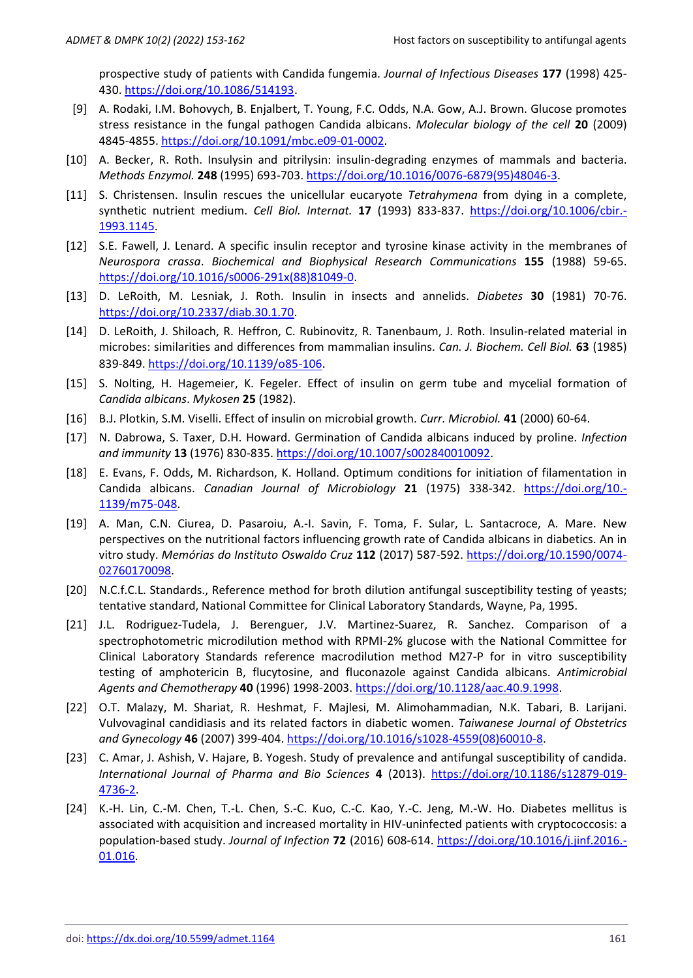prospective study of patients with Candida fungemia. *Journal of Infectious Diseases* **177** (1998) 425- 430. [https://doi.org/10.1086/514193.](https://doi.org/10.1086/514193)

- [9] A. Rodaki, I.M. Bohovych, B. Enjalbert, T. Young, F.C. Odds, N.A. Gow, A.J. Brown. Glucose promotes stress resistance in the fungal pathogen Candida albicans. *Molecular biology of the cell* **20** (2009) 4845-4855. [https://doi.org/10.1091/mbc.e09-01-0002.](https://doi.org/10.1091/mbc.e09-01-0002)
- [10] A. Becker, R. Roth. Insulysin and pitrilysin: insulin-degrading enzymes of mammals and bacteria. *Methods Enzymol.* **248** (1995) 693-703. [https://doi.org/10.1016/0076-6879\(95\)48046-3.](https://doi.org/10.1016/0076-6879(95)48046-3)
- [11] S. Christensen. Insulin rescues the unicellular eucaryote *Tetrahymena* from dying in a complete, synthetic nutrient medium. *Cell Biol. Internat.* **17** (1993) 833-837. [https://doi.org/10.1006/cbir.-](https://doi.org/10.1006/cbir.1993.1145) [1993.1145.](https://doi.org/10.1006/cbir.1993.1145)
- [12] S.E. Fawell, J. Lenard. A specific insulin receptor and tyrosine kinase activity in the membranes of *Neurospora crassa*. *Biochemical and Biophysical Research Communications* **155** (1988) 59-65. [https://doi.org/10.1016/s0006-291x\(88\)81049-0.](https://doi.org/10.1016/s0006-291x(88)81049-0)
- [13] D. LeRoith, M. Lesniak, J. Roth. Insulin in insects and annelids. *Diabetes* **30** (1981) 70-76. [https://doi.org/10.2337/diab.30.1.70.](https://doi.org/10.2337/diab.30.1.70)
- [14] D. LeRoith, J. Shiloach, R. Heffron, C. Rubinovitz, R. Tanenbaum, J. Roth. Insulin-related material in microbes: similarities and differences from mammalian insulins. *Can. J. Biochem. Cell Biol.* **63** (1985) 839-849. <https://doi.org/10.1139/o85-106>.
- [15] S. Nolting, H. Hagemeier, K. Fegeler. Effect of insulin on germ tube and mycelial formation of *Candida albicans*. *Mykosen* **25** (1982).
- [16] B.J. Plotkin, S.M. Viselli. Effect of insulin on microbial growth. *Curr. Microbiol.* **41** (2000) 60-64.
- [17] N. Dabrowa, S. Taxer, D.H. Howard. Germination of Candida albicans induced by proline. *Infection and immunity* **13** (1976) 830-835. [https://doi.org/10.1007/s002840010092.](https://doi.org/10.1007/s002840010092)
- [18] E. Evans, F. Odds, M. Richardson, K. Holland. Optimum conditions for initiation of filamentation in Candida albicans. *Canadian Journal of Microbiology* **21** (1975) 338-342. [https://doi.org/10.-](https://doi.org/10.1139/m75-048) [1139/m75-048.](https://doi.org/10.1139/m75-048)
- [19] A. Man, C.N. Ciurea, D. Pasaroiu, A.-I. Savin, F. Toma, F. Sular, L. Santacroce, A. Mare. New perspectives on the nutritional factors influencing growth rate of Candida albicans in diabetics. An in vitro study. *Memórias do Instituto Oswaldo Cruz* **112** (2017) 587-592. [https://doi.org/10.1590/0074-](https://doi.org/10.1590/0074-02760170098) [02760170098.](https://doi.org/10.1590/0074-02760170098)
- [20] N.C.f.C.L. Standards., Reference method for broth dilution antifungal susceptibility testing of yeasts; tentative standard, National Committee for Clinical Laboratory Standards, Wayne, Pa, 1995.
- [21] J.L. Rodriguez-Tudela, J. Berenguer, J.V. Martinez-Suarez, R. Sanchez. Comparison of a spectrophotometric microdilution method with RPMI-2% glucose with the National Committee for Clinical Laboratory Standards reference macrodilution method M27-P for in vitro susceptibility testing of amphotericin B, flucytosine, and fluconazole against Candida albicans. *Antimicrobial Agents and Chemotherapy* **40** (1996) 1998-2003. [https://doi.org/10.1128/aac.40.9.1998.](https://doi.org/10.1128/aac.40.9.1998)
- [22] O.T. Malazy, M. Shariat, R. Heshmat, F. Majlesi, M. Alimohammadian, N.K. Tabari, B. Larijani. Vulvovaginal candidiasis and its related factors in diabetic women. *Taiwanese Journal of Obstetrics and Gynecology* **46** (2007) 399-404. [https://doi.org/10.1016/s1028-4559\(08\)60010-8.](https://doi.org/10.1016/s1028-4559(08)60010-8)
- [23] C. Amar, J. Ashish, V. Hajare, B. Yogesh. Study of prevalence and antifungal susceptibility of candida. *International Journal of Pharma and Bio Sciences* **4** (2013). [https://doi.org/10.1186/s12879-019-](https://doi.org/10.1186/s12879-019-4736-2) [4736-2.](https://doi.org/10.1186/s12879-019-4736-2)
- [24] K.-H. Lin, C.-M. Chen, T.-L. Chen, S.-C. Kuo, C.-C. Kao, Y.-C. Jeng, M.-W. Ho. Diabetes mellitus is associated with acquisition and increased mortality in HIV-uninfected patients with cryptococcosis: a population-based study. *Journal of Infection* **72** (2016) 608-614. [https://doi.org/10.1016/j.jinf.2016.-](https://doi.org/10.1016/j.jinf.2016.01.016) [01.016.](https://doi.org/10.1016/j.jinf.2016.01.016)